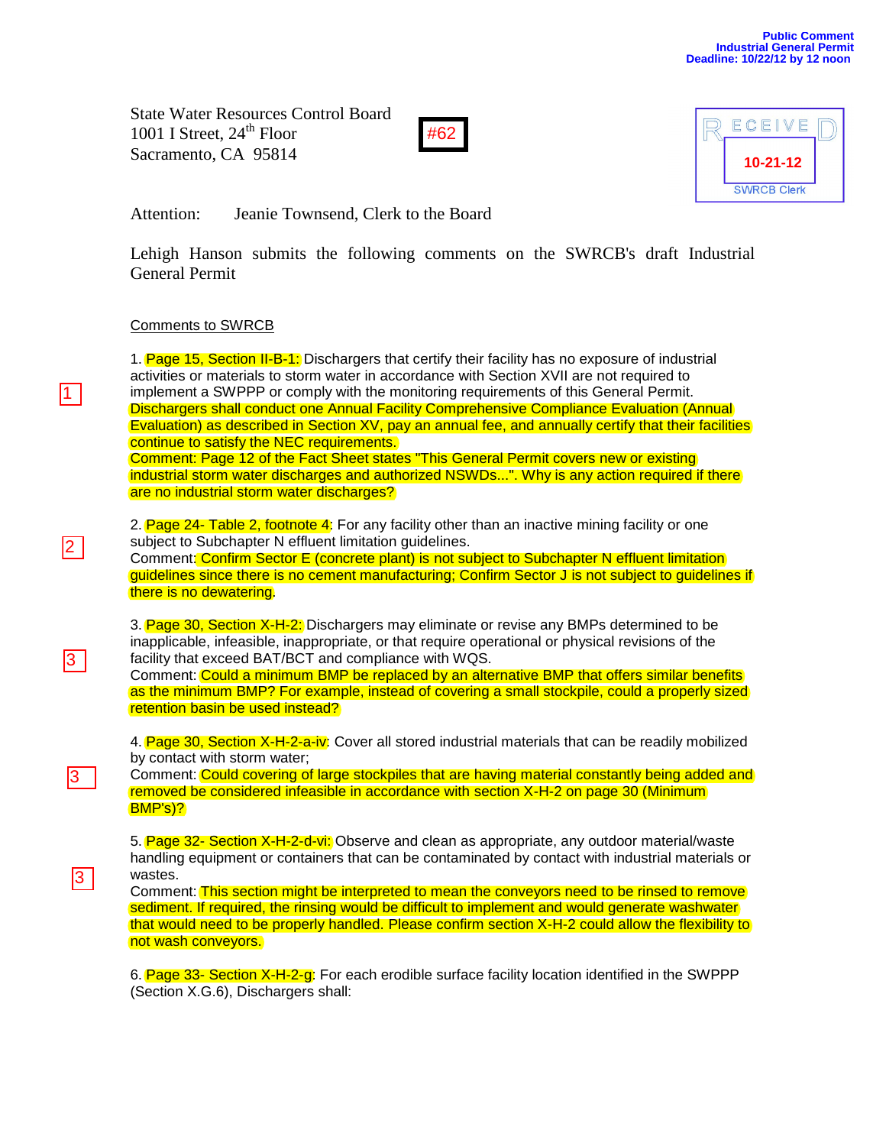State Water Resources Control Board 1001 I Street,  $24<sup>th</sup>$  Floor Sacramento, CA 95814





Attention: Jeanie Townsend, Clerk to the Board

Lehigh Hanson submits the following comments on the SWRCB's draft Industrial General Permit

## Comments to SWRCB

1

2

3

3

3

1. **Page 15, Section II-B-1:** Dischargers that certify their facility has no exposure of industrial activities or materials to storm water in accordance with Section XVII are not required to implement a SWPPP or comply with the monitoring requirements of this General Permit. Dischargers shall conduct one Annual Facility Comprehensive Compliance Evaluation (Annual Evaluation) as described in Section XV, pay an annual fee, and annually certify that their facilities continue to satisfy the NEC requirements. Comment: Page 12 of the Fact Sheet states "This General Permit covers new or existing

industrial storm water discharges and authorized NSWDs...". Why is any action required if there are no industrial storm water discharges?

2. Page 24- Table 2, footnote 4: For any facility other than an inactive mining facility or one subject to Subchapter N effluent limitation guidelines.

Comment: Confirm Sector E (concrete plant) is not subject to Subchapter N effluent limitation guidelines since there is no cement manufacturing; Confirm Sector J is not subject to guidelines if there is no dewatering.

3. Page 30, Section X-H-2: Dischargers may eliminate or revise any BMPs determined to be inapplicable, infeasible, inappropriate, or that require operational or physical revisions of the facility that exceed BAT/BCT and compliance with WQS.

Comment: Could a minimum BMP be replaced by an alternative BMP that offers similar benefits as the minimum BMP? For example, instead of covering a small stockpile, could a properly sized retention basin be used instead?

4. Page 30, Section X-H-2-a-iv: Cover all stored industrial materials that can be readily mobilized by contact with storm water;

Comment: Could covering of large stockpiles that are having material constantly being added and removed be considered infeasible in accordance with section X-H-2 on page 30 (Minimum BMP's)?

5. Page 32- Section X-H-2-d-vi: Observe and clean as appropriate, any outdoor material/waste handling equipment or containers that can be contaminated by contact with industrial materials or wastes.

Comment: This section might be interpreted to mean the conveyors need to be rinsed to remove sediment. If required, the rinsing would be difficult to implement and would generate washwater that would need to be properly handled. Please confirm section X-H-2 could allow the flexibility to not wash conveyors.

6. Page 33- Section X-H-2-g: For each erodible surface facility location identified in the SWPPP (Section X.G.6), Dischargers shall: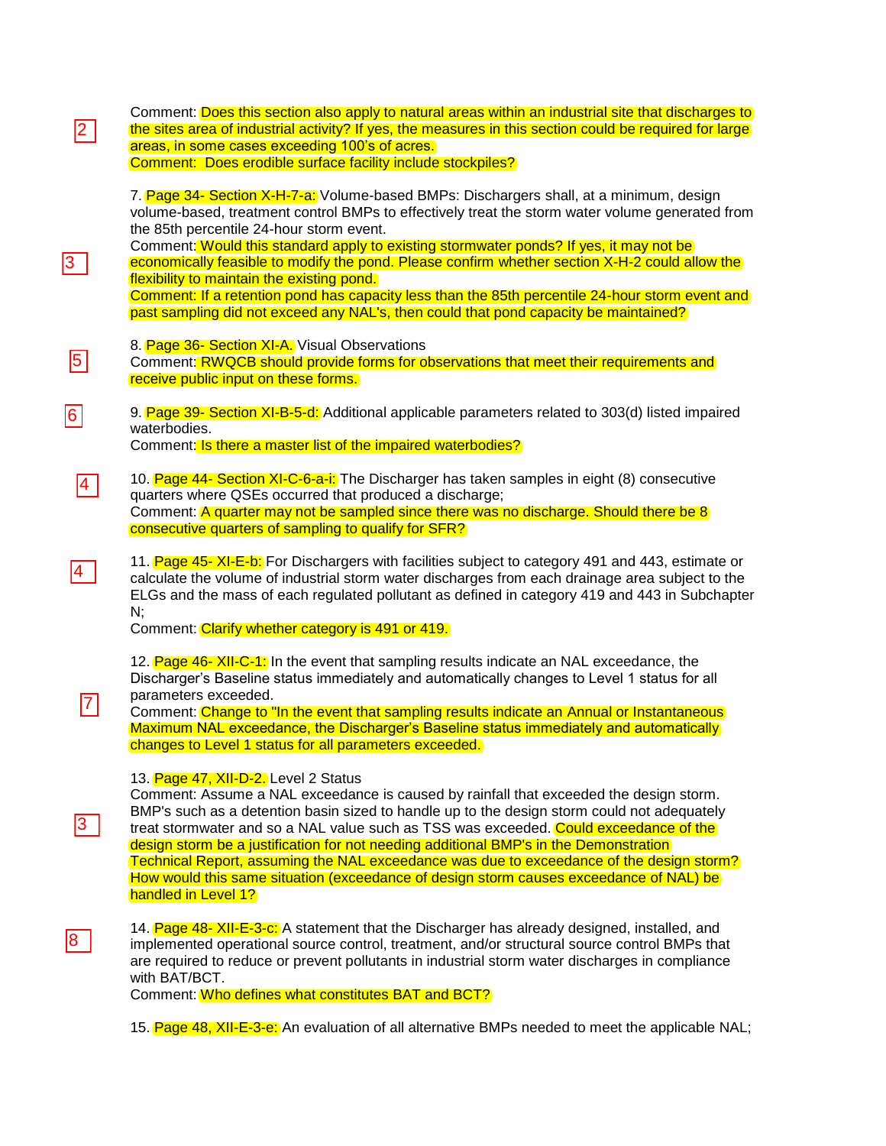| 2               | Comment: Does this section also apply to natural areas within an industrial site that discharges to<br>the sites area of industrial activity? If yes, the measures in this section could be required for large<br>areas, in some cases exceeding 100's of acres.<br>Comment: Does erodible surface facility include stockpiles?                                                                                                                                                                                                                                                                                              |
|-----------------|------------------------------------------------------------------------------------------------------------------------------------------------------------------------------------------------------------------------------------------------------------------------------------------------------------------------------------------------------------------------------------------------------------------------------------------------------------------------------------------------------------------------------------------------------------------------------------------------------------------------------|
| 3               | 7. Page 34- Section X-H-7-a: Volume-based BMPs: Dischargers shall, at a minimum, design<br>volume-based, treatment control BMPs to effectively treat the storm water volume generated from<br>the 85th percentile 24-hour storm event.<br>Comment: Would this standard apply to existing stormwater ponds? If yes, it may not be<br>economically feasible to modify the pond. Please confirm whether section X-H-2 could allow the<br>flexibility to maintain the existing pond.<br>Comment: If a retention pond has capacity less than the 85th percentile 24-hour storm event and                                          |
| $\sqrt{5}$      | past sampling did not exceed any NAL's, then could that pond capacity be maintained?<br>8. Page 36- Section XI-A. Visual Observations<br>Comment: RWQCB should provide forms for observations that meet their requirements and<br>receive public input on these forms.                                                                                                                                                                                                                                                                                                                                                       |
| 6               | 9. Page 39- Section XI-B-5-d: Additional applicable parameters related to 303(d) listed impaired<br>waterbodies.<br>Comment: Is there a master list of the impaired waterbodies?                                                                                                                                                                                                                                                                                                                                                                                                                                             |
| $\vert 4 \vert$ | 10. Page 44- Section XI-C-6-a-i: The Discharger has taken samples in eight (8) consecutive<br>quarters where QSEs occurred that produced a discharge;<br>Comment: A quarter may not be sampled since there was no discharge. Should there be 8<br>consecutive quarters of sampling to qualify for SFR?                                                                                                                                                                                                                                                                                                                       |
| $\vert 4 \vert$ | 11. Page 45- XI-E-b: For Dischargers with facilities subject to category 491 and 443, estimate or<br>calculate the volume of industrial storm water discharges from each drainage area subject to the<br>ELGs and the mass of each regulated pollutant as defined in category 419 and 443 in Subchapter<br>N;<br>Comment: Clarify whether category is 491 or 419.                                                                                                                                                                                                                                                            |
|                 | 12. Page 46- XII-C-1: In the event that sampling results indicate an NAL exceedance, the<br>Discharger's Baseline status immediately and automatically changes to Level 1 status for all<br>parameters exceeded.<br>Comment: Change to "In the event that sampling results indicate an Annual or Instantaneous<br>Maximum NAL exceedance, the Discharger's Baseline status immediately and automatically<br>changes to Level 1 status for all parameters exceeded.                                                                                                                                                           |
| 3               | 13. Page 47, XII-D-2. Level 2 Status<br>Comment: Assume a NAL exceedance is caused by rainfall that exceeded the design storm.<br>BMP's such as a detention basin sized to handle up to the design storm could not adequately<br>treat stormwater and so a NAL value such as TSS was exceeded. Could exceedance of the<br>design storm be a justification for not needing additional BMP's in the Demonstration<br>Technical Report, assuming the NAL exceedance was due to exceedance of the design storm?<br>How would this same situation (exceedance of design storm causes exceedance of NAL) be<br>handled in Level 1? |
| ၓ               | 14. Page 48- XII-E-3-c: A statement that the Discharger has already designed, installed, and<br>implemented operational source control, treatment, and/or structural source control BMPs that<br>are required to reduce or prevent pollutants in industrial storm water discharges in compliance<br>with BAT/BCT.<br>Comment: Who defines what constitutes BAT and BCT?                                                                                                                                                                                                                                                      |
|                 | 15. Page 48, XII-E-3-e: An evaluation of all alternative BMPs needed to meet the applicable NAL;                                                                                                                                                                                                                                                                                                                                                                                                                                                                                                                             |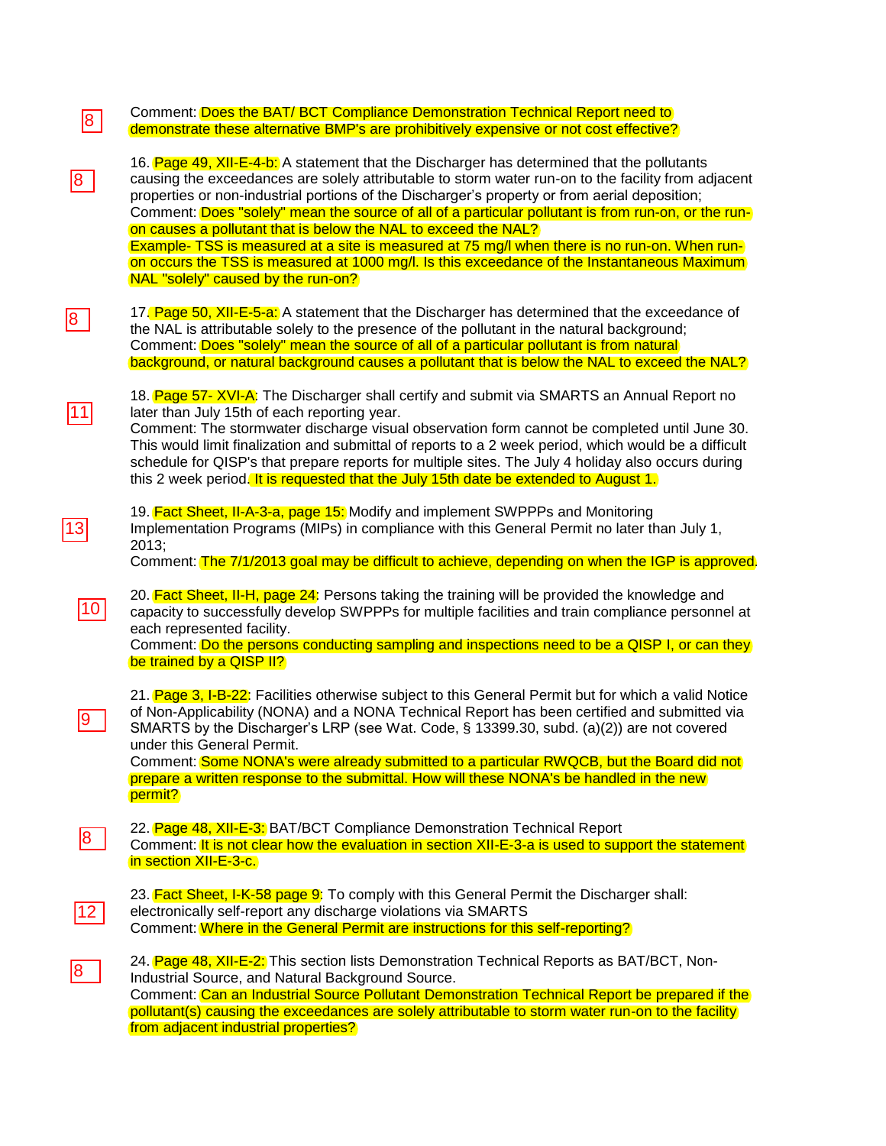| 8  | Comment: Does the BAT/ BCT Compliance Demonstration Technical Report need to<br>demonstrate these alternative BMP's are prohibitively expensive or not cost effective?                                                                                                                                                                                                                                                                                                                                                                                                                                                                                                                                           |
|----|------------------------------------------------------------------------------------------------------------------------------------------------------------------------------------------------------------------------------------------------------------------------------------------------------------------------------------------------------------------------------------------------------------------------------------------------------------------------------------------------------------------------------------------------------------------------------------------------------------------------------------------------------------------------------------------------------------------|
| 8  | 16. Page 49, XII-E-4-b: A statement that the Discharger has determined that the pollutants<br>causing the exceedances are solely attributable to storm water run-on to the facility from adjacent<br>properties or non-industrial portions of the Discharger's property or from aerial deposition;<br>Comment: Does "solely" mean the source of all of a particular pollutant is from run-on, or the run-<br>on causes a pollutant that is below the NAL to exceed the NAL?<br>Example- TSS is measured at a site is measured at 75 mg/l when there is no run-on. When run-<br>on occurs the TSS is measured at 1000 mg/l. Is this exceedance of the Instantaneous Maximum<br>NAL "solely" caused by the run-on? |
| 8  | 17. Page 50, XII-E-5-a: A statement that the Discharger has determined that the exceedance of<br>the NAL is attributable solely to the presence of the pollutant in the natural background;<br>Comment: Does "solely" mean the source of all of a particular pollutant is from natural<br>background, or natural background causes a pollutant that is below the NAL to exceed the NAL?                                                                                                                                                                                                                                                                                                                          |
| 11 | 18. Page 57- XVI-A: The Discharger shall certify and submit via SMARTS an Annual Report no<br>later than July 15th of each reporting year.<br>Comment: The stormwater discharge visual observation form cannot be completed until June 30.<br>This would limit finalization and submittal of reports to a 2 week period, which would be a difficult<br>schedule for QISP's that prepare reports for multiple sites. The July 4 holiday also occurs during<br>this 2 week period. It is requested that the July 15th date be extended to August 1.                                                                                                                                                                |
|    | 19. Fact Sheet, II-A-3-a, page 15: Modify and implement SWPPPs and Monitoring<br>Implementation Programs (MIPs) in compliance with this General Permit no later than July 1,<br>2013;<br>Comment: The 7/1/2013 goal may be difficult to achieve, depending on when the IGP is approved.                                                                                                                                                                                                                                                                                                                                                                                                                          |
| 10 | 20. Fact Sheet, II-H, page 24: Persons taking the training will be provided the knowledge and<br>capacity to successfully develop SWPPPs for multiple facilities and train compliance personnel at<br>each represented facility.<br>Comment: Do the persons conducting sampling and inspections need to be a QISP I, or can they<br>be trained by a QISP II?                                                                                                                                                                                                                                                                                                                                                     |
|    | 21. Page 3, I-B-22: Facilities otherwise subject to this General Permit but for which a valid Notice<br>of Non-Applicability (NONA) and a NONA Technical Report has been certified and submitted via<br>SMARTS by the Discharger's LRP (see Wat. Code, § 13399.30, subd. (a)(2)) are not covered<br>under this General Permit.<br>Comment: Some NONA's were already submitted to a particular RWQCB, but the Board did not<br>prepare a written response to the submittal. How will these NONA's be handled in the new<br>permit?                                                                                                                                                                                |
| 8  | 22. Page 48, XII-E-3: BAT/BCT Compliance Demonstration Technical Report<br>Comment: It is not clear how the evaluation in section XII-E-3-a is used to support the statement<br>in section XII-E-3-c.                                                                                                                                                                                                                                                                                                                                                                                                                                                                                                            |
| 12 | 23. Fact Sheet, I-K-58 page 9: To comply with this General Permit the Discharger shall:<br>electronically self-report any discharge violations via SMARTS<br>Comment: Where in the General Permit are instructions for this self-reporting?                                                                                                                                                                                                                                                                                                                                                                                                                                                                      |
| 8  | 24. Page 48, XII-E-2: This section lists Demonstration Technical Reports as BAT/BCT, Non-<br>Industrial Source, and Natural Background Source.<br>Comment: Can an Industrial Source Pollutant Demonstration Technical Report be prepared if the<br>pollutant(s) causing the exceedances are solely attributable to storm water run-on to the facility<br>from adjacent industrial properties?                                                                                                                                                                                                                                                                                                                    |